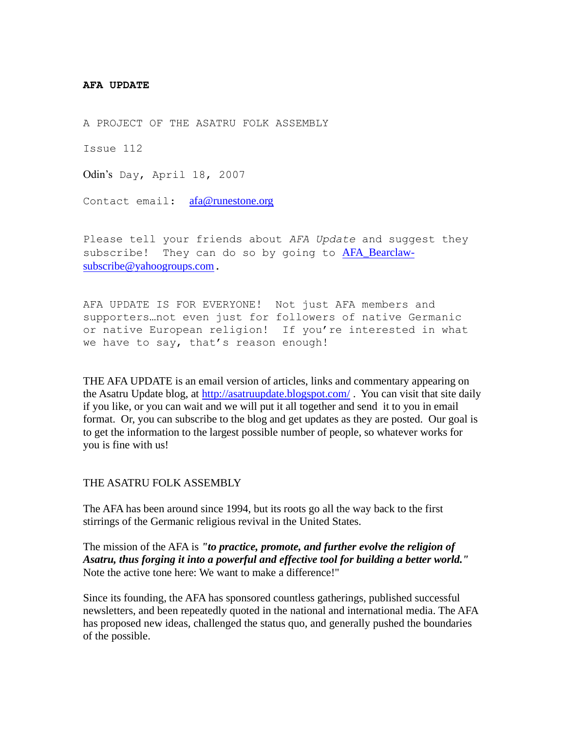#### **AFA UPDATE**

A PROJECT OF THE ASATRU FOLK ASSEMBLY

Issue 112

Odin's Day, April 18, 2007

Contact email: [afa@runestone.org](mailto:afa@runestone.org)

Please tell your friends about *AFA Update* and suggest they subscribe! They can do so by going to [AFA\\_Bearclaw](mailto:AFA_Bearclaw-subscribe@yahoogroups.com)[subscribe@yahoogroups.com](mailto:AFA_Bearclaw-subscribe@yahoogroups.com).

AFA UPDATE IS FOR EVERYONE! Not just AFA members and supporters…not even just for followers of native Germanic or native European religion! If you're interested in what we have to say, that's reason enough!

THE AFA UPDATE is an email version of articles, links and commentary appearing on the Asatru Update blog, at<http://asatruupdate.blogspot.com/> . You can visit that site daily if you like, or you can wait and we will put it all together and send it to you in email format. Or, you can subscribe to the blog and get updates as they are posted. Our goal is to get the information to the largest possible number of people, so whatever works for you is fine with us!

### THE ASATRU FOLK ASSEMBLY

The AFA has been around since 1994, but its roots go all the way back to the first stirrings of the Germanic religious revival in the United States.

The mission of the AFA is *"to practice, promote, and further evolve the religion of Asatru, thus forging it into a powerful and effective tool for building a better world."* Note the active tone here: We want to make a difference!"

Since its founding, the AFA has sponsored countless gatherings, published successful newsletters, and been repeatedly quoted in the national and international media. The AFA has proposed new ideas, challenged the status quo, and generally pushed the boundaries of the possible.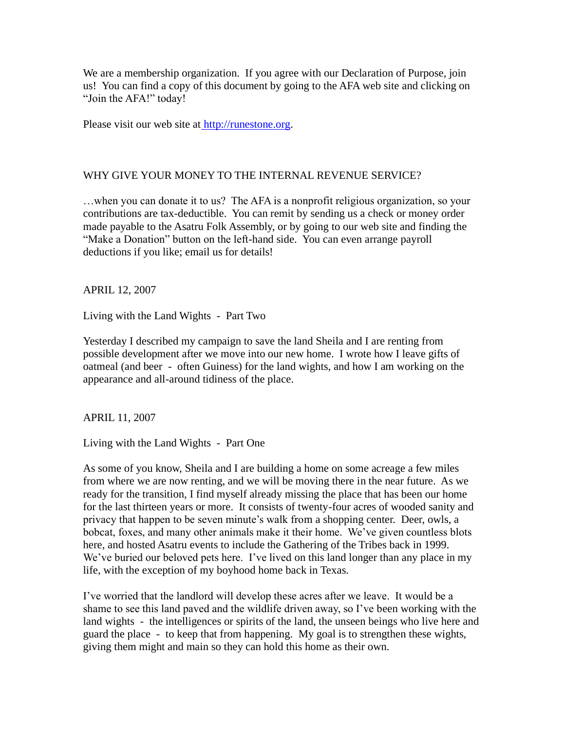We are a membership organization. If you agree with our Declaration of Purpose, join us! You can find a copy of this document by going to the AFA web site and clicking on "Join the AFA!" today!

Please visit our web site at [http://runestone.org.](http://runestone.org/)

## WHY GIVE YOUR MONEY TO THE INTERNAL REVENUE SERVICE?

…when you can donate it to us? The AFA is a nonprofit religious organization, so your contributions are tax-deductible. You can remit by sending us a check or money order made payable to the Asatru Folk Assembly, or by going to our web site and finding the "Make a Donation" button on the left-hand side. You can even arrange payroll deductions if you like; email us for details!

APRIL 12, 2007

Living with the Land Wights - Part Two

Yesterday I described my campaign to save the land Sheila and I are renting from possible development after we move into our new home. I wrote how I leave gifts of oatmeal (and beer - often Guiness) for the land wights, and how I am working on the appearance and all-around tidiness of the place.

APRIL 11, 2007

Living with the Land Wights - Part One

As some of you know, Sheila and I are building a home on some acreage a few miles from where we are now renting, and we will be moving there in the near future. As we ready for the transition, I find myself already missing the place that has been our home for the last thirteen years or more. It consists of twenty-four acres of wooded sanity and privacy that happen to be seven minute's walk from a shopping center. Deer, owls, a bobcat, foxes, and many other animals make it their home. We've given countless blots here, and hosted Asatru events to include the Gathering of the Tribes back in 1999. We've buried our beloved pets here. I've lived on this land longer than any place in my life, with the exception of my boyhood home back in Texas.

I've worried that the landlord will develop these acres after we leave. It would be a shame to see this land paved and the wildlife driven away, so I've been working with the land wights - the intelligences or spirits of the land, the unseen beings who live here and guard the place - to keep that from happening. My goal is to strengthen these wights, giving them might and main so they can hold this home as their own.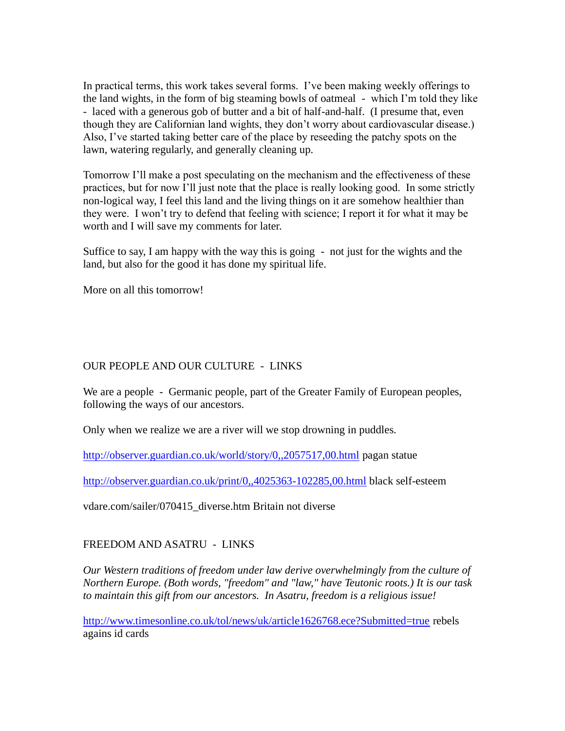In practical terms, this work takes several forms. I've been making weekly offerings to the land wights, in the form of big steaming bowls of oatmeal - which I'm told they like - laced with a generous gob of butter and a bit of half-and-half. (I presume that, even though they are Californian land wights, they don't worry about cardiovascular disease.) Also, I've started taking better care of the place by reseeding the patchy spots on the lawn, watering regularly, and generally cleaning up.

Tomorrow I'll make a post speculating on the mechanism and the effectiveness of these practices, but for now I'll just note that the place is really looking good. In some strictly non-logical way, I feel this land and the living things on it are somehow healthier than they were. I won't try to defend that feeling with science; I report it for what it may be worth and I will save my comments for later.

Suffice to say, I am happy with the way this is going - not just for the wights and the land, but also for the good it has done my spiritual life.

More on all this tomorrow!

## OUR PEOPLE AND OUR CULTURE - LINKS

We are a people - Germanic people, part of the Greater Family of European peoples, following the ways of our ancestors.

Only when we realize we are a river will we stop drowning in puddles.

<http://observer.guardian.co.uk/world/story/0,,2057517,00.html> pagan statue

<http://observer.guardian.co.uk/print/0,,4025363-102285,00.html> black self-esteem

vdare.com/sailer/070415\_diverse.htm Britain not diverse

## FREEDOM AND ASATRU - LINKS

*Our Western traditions of freedom under law derive overwhelmingly from the culture of Northern Europe. (Both words, "freedom" and "law," have Teutonic roots.) It is our task to maintain this gift from our ancestors. In Asatru, freedom is a religious issue!*

<http://www.timesonline.co.uk/tol/news/uk/article1626768.ece?Submitted=true> rebels agains id cards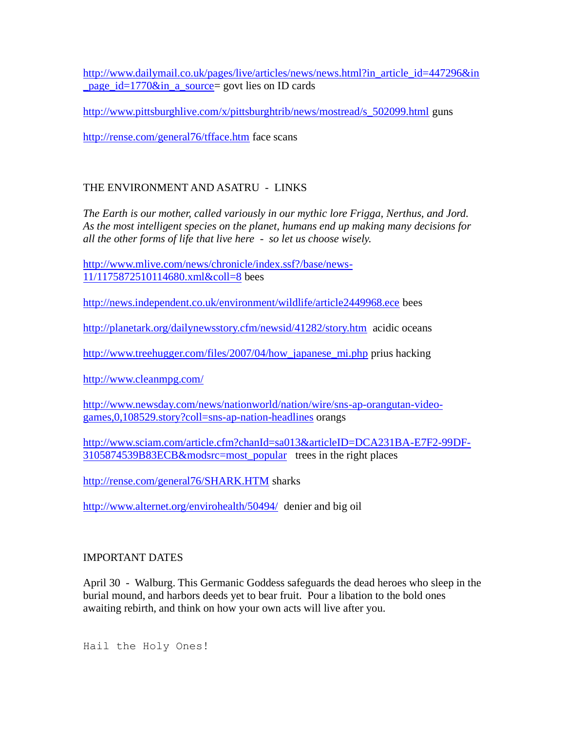[http://www.dailymail.co.uk/pages/live/articles/news/news.html?in\\_article\\_id=447296&in](http://www.dailymail.co.uk/pages/live/articles/news/news.html?in_article_id=447296&in_page_id=1770&in_a_source) [\\_page\\_id=1770&in\\_a\\_source=](http://www.dailymail.co.uk/pages/live/articles/news/news.html?in_article_id=447296&in_page_id=1770&in_a_source) govt lies on ID cards

[http://www.pittsburghlive.com/x/pittsburghtrib/news/mostread/s\\_502099.html](http://www.pittsburghlive.com/x/pittsburghtrib/news/mostread/s_502099.html) guns

<http://rense.com/general76/tfface.htm> face scans

# THE ENVIRONMENT AND ASATRU - LINKS

*The Earth is our mother, called variously in our mythic lore Frigga, Nerthus, and Jord. As the most intelligent species on the planet, humans end up making many decisions for all the other forms of life that live here - so let us choose wisely.*

[http://www.mlive.com/news/chronicle/index.ssf?/base/news-](http://www.mlive.com/news/chronicle/index.ssf?/base/news-11/1175872510114680.xml&coll=8)[11/1175872510114680.xml&coll=8](http://www.mlive.com/news/chronicle/index.ssf?/base/news-11/1175872510114680.xml&coll=8) bees

<http://news.independent.co.uk/environment/wildlife/article2449968.ece> bees

<http://planetark.org/dailynewsstory.cfm/newsid/41282/story.htm>acidic oceans

[http://www.treehugger.com/files/2007/04/how\\_japanese\\_mi.php](http://www.treehugger.com/files/2007/04/how_japanese_mi.php) prius hacking

<http://www.cleanmpg.com/>

[http://www.newsday.com/news/nationworld/nation/wire/sns-ap-orangutan-video](http://www.newsday.com/news/nationworld/nation/wire/sns-ap-orangutan-video-games,0,108529.story?coll=sns-ap-nation-headlines)[games,0,108529.story?coll=sns-ap-nation-headlines](http://www.newsday.com/news/nationworld/nation/wire/sns-ap-orangutan-video-games,0,108529.story?coll=sns-ap-nation-headlines) orangs

[http://www.sciam.com/article.cfm?chanId=sa013&articleID=DCA231BA-E7F2-99DF-](http://www.sciam.com/article.cfm?chanId=sa013&articleID=DCA231BA-E7F2-99DF-3105874539B83ECB&modsrc=most_popular)[3105874539B83ECB&modsrc=most\\_popular](http://www.sciam.com/article.cfm?chanId=sa013&articleID=DCA231BA-E7F2-99DF-3105874539B83ECB&modsrc=most_popular) trees in the right places

<http://rense.com/general76/SHARK.HTM> sharks

<http://www.alternet.org/envirohealth/50494/>denier and big oil

## IMPORTANT DATES

April 30 - Walburg. This Germanic Goddess safeguards the dead heroes who sleep in the burial mound, and harbors deeds yet to bear fruit. Pour a libation to the bold ones awaiting rebirth, and think on how your own acts will live after you.

Hail the Holy Ones!